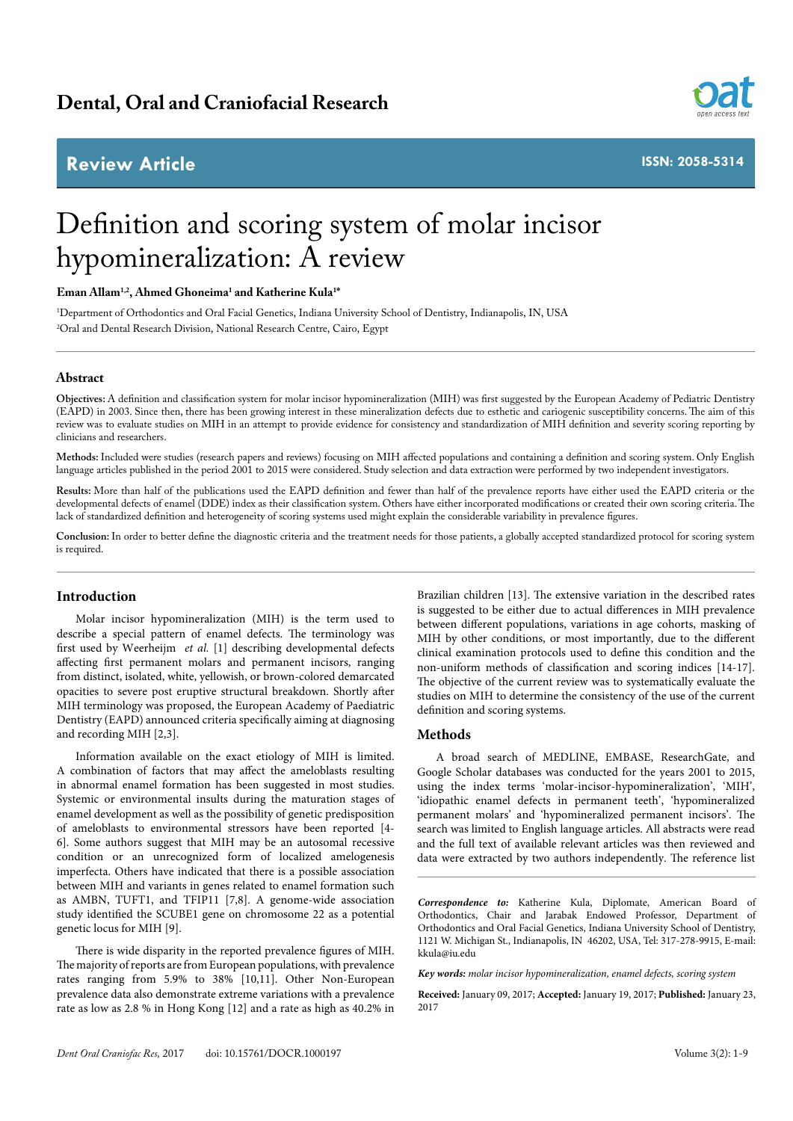# **Dental, Oral and Craniofacial Research**

# **Review Article**



**ISSN: 2058-5314**

# Definition and scoring system of molar incisor hypomineralization: A review

## **Eman Allam1,2, Ahmed Ghoneima1 and Katherine Kula1 \***

1 Department of Orthodontics and Oral Facial Genetics, Indiana University School of Dentistry, Indianapolis, IN, USA 2 Oral and Dental Research Division, National Research Centre, Cairo, Egypt

#### **Abstract**

**Objectives:** A definition and classification system for molar incisor hypomineralization (MIH) was first suggested by the European Academy of Pediatric Dentistry (EAPD) in 2003. Since then, there has been growing interest in these mineralization defects due to esthetic and cariogenic susceptibility concerns. The aim of this review was to evaluate studies on MIH in an attempt to provide evidence for consistency and standardization of MIH definition and severity scoring reporting by clinicians and researchers.

**Methods:** Included were studies (research papers and reviews) focusing on MIH affected populations and containing a definition and scoring system. Only English language articles published in the period 2001 to 2015 were considered. Study selection and data extraction were performed by two independent investigators.

**Results:** More than half of the publications used the EAPD definition and fewer than half of the prevalence reports have either used the EAPD criteria or the developmental defects of enamel (DDE) index as their classification system. Others have either incorporated modifications or created their own scoring criteria. The lack of standardized definition and heterogeneity of scoring systems used might explain the considerable variability in prevalence figures.

**Conclusion:** In order to better define the diagnostic criteria and the treatment needs for those patients, a globally accepted standardized protocol for scoring system is required.

#### **Introduction**

Molar incisor hypomineralization (MIH) is the term used to describe a special pattern of enamel defects. The terminology was first used by Weerheijm *et al.* [1] describing developmental defects affecting first permanent molars and permanent incisors, ranging from distinct, isolated, white, yellowish, or brown-colored demarcated opacities to severe post eruptive structural breakdown. Shortly after MIH terminology was proposed, the European Academy of Paediatric Dentistry (EAPD) announced criteria specifically aiming at diagnosing and recording MIH [2,3].

Information available on the exact etiology of MIH is limited. A combination of factors that may affect the ameloblasts resulting in abnormal enamel formation has been suggested in most studies. Systemic or environmental insults during the maturation stages of enamel development as well as the possibility of genetic predisposition of ameloblasts to environmental stressors have been reported [4- 6]. Some authors suggest that MIH may be an autosomal recessive condition or an unrecognized form of localized amelogenesis imperfecta. Others have indicated that there is a possible association between MIH and variants in genes related to enamel formation such as AMBN, TUFT1, and TFIP11 [7,8]. A genome-wide association study identified the SCUBE1 gene on chromosome 22 as a potential genetic locus for MIH [9].

There is wide disparity in the reported prevalence figures of MIH. The majority of reports are from European populations, with prevalence rates ranging from 5.9% to 38% [10,11]. Other Non-European prevalence data also demonstrate extreme variations with a prevalence rate as low as 2.8 % in Hong Kong [12] and a rate as high as 40.2% in Brazilian children [13]. The extensive variation in the described rates is suggested to be either due to actual differences in MIH prevalence between different populations, variations in age cohorts, masking of MIH by other conditions, or most importantly, due to the different clinical examination protocols used to define this condition and the non-uniform methods of classification and scoring indices [14-17]. The objective of the current review was to systematically evaluate the studies on MIH to determine the consistency of the use of the current definition and scoring systems.

#### **Methods**

A broad search of MEDLINE, EMBASE, ResearchGate, and Google Scholar databases was conducted for the years 2001 to 2015, using the index terms 'molar-incisor-hypomineralization', 'MIH', 'idiopathic enamel defects in permanent teeth', 'hypomineralized permanent molars' and 'hypomineralized permanent incisors'. The search was limited to English language articles. All abstracts were read and the full text of available relevant articles was then reviewed and data were extracted by two authors independently. The reference list

*Correspondence to:* Katherine Kula, Diplomate, American Board of Orthodontics, Chair and Jarabak Endowed Professor, Department of Orthodontics and Oral Facial Genetics, Indiana University School of Dentistry, 1121 W. Michigan St., Indianapolis, IN 46202, USA, Tel: 317-278-9915, E-mail: kkula@iu.edu

*Key words: molar incisor hypomineralization, enamel defects, scoring system*

**Received:** January 09, 2017; **Accepted:** January 19, 2017; **Published:** January 23, 2017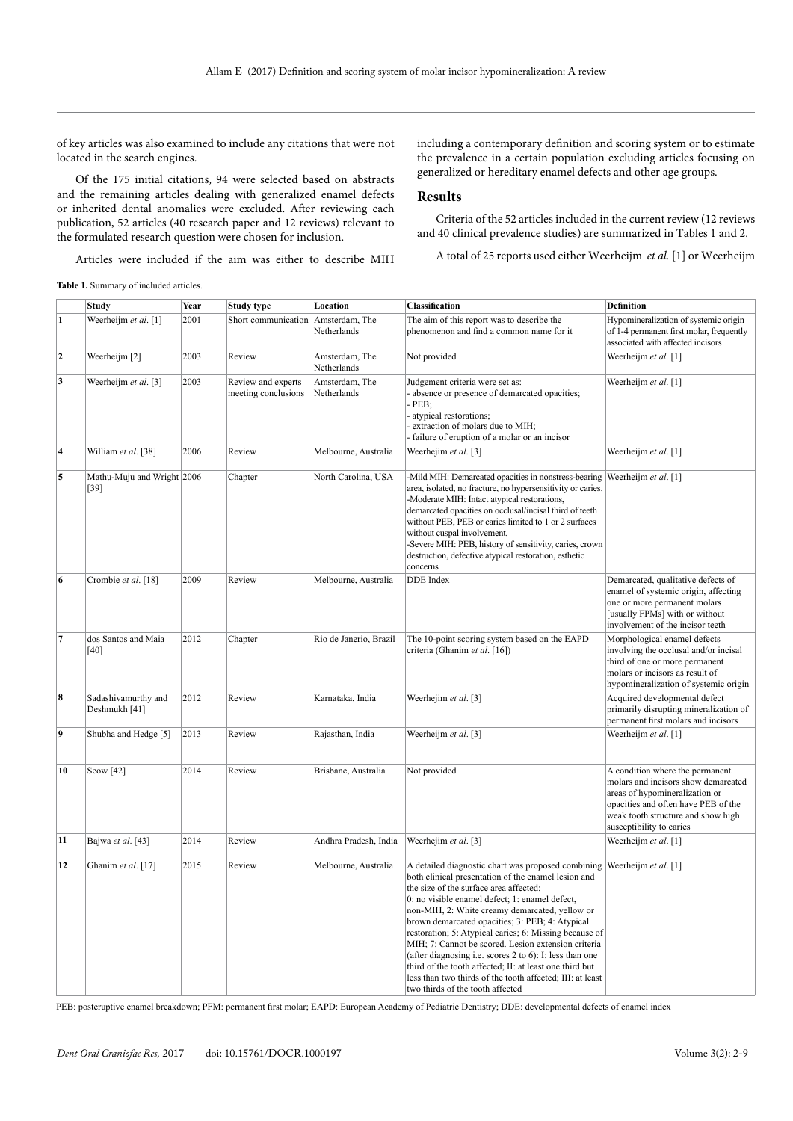of key articles was also examined to include any citations that were not located in the search engines.

Of the 175 initial citations, 94 were selected based on abstracts and the remaining articles dealing with generalized enamel defects or inherited dental anomalies were excluded. After reviewing each publication, 52 articles (40 research paper and 12 reviews) relevant to the formulated research question were chosen for inclusion.

including a contemporary definition and scoring system or to estimate the prevalence in a certain population excluding articles focusing on generalized or hereditary enamel defects and other age groups.

### **Results**

Criteria of the 52 articles included in the current review (12 reviews and 40 clinical prevalence studies) are summarized in Tables 1 and 2.

A total of 25 reports used either Weerheijm *et al.* [1] or Weerheijm

Articles were included if the aim was either to describe MIH

#### **Table 1.** Summary of included articles.

|                         | <b>Study</b>                         | Year | Study type                                | Location                      | Classification                                                                                                                                                                                                                                                                                                                                                                                                                                                                                                                                                                                                                                                               | <b>Definition</b>                                                                                                                                                                                                 |
|-------------------------|--------------------------------------|------|-------------------------------------------|-------------------------------|------------------------------------------------------------------------------------------------------------------------------------------------------------------------------------------------------------------------------------------------------------------------------------------------------------------------------------------------------------------------------------------------------------------------------------------------------------------------------------------------------------------------------------------------------------------------------------------------------------------------------------------------------------------------------|-------------------------------------------------------------------------------------------------------------------------------------------------------------------------------------------------------------------|
| 1                       | Weerheijm et al. [1]                 | 2001 | Short communication Amsterdam, The        | Netherlands                   | The aim of this report was to describe the<br>phenomenon and find a common name for it                                                                                                                                                                                                                                                                                                                                                                                                                                                                                                                                                                                       | Hypomineralization of systemic origin<br>of 1-4 permanent first molar, frequently<br>associated with affected incisors                                                                                            |
| $\overline{2}$          | Weerheijm [2]                        | 2003 | Review                                    | Amsterdam, The<br>Netherlands | Not provided                                                                                                                                                                                                                                                                                                                                                                                                                                                                                                                                                                                                                                                                 | Weerheijm et al. [1]                                                                                                                                                                                              |
| 3                       | Weerheijm et al. [3]                 | 2003 | Review and experts<br>meeting conclusions | Amsterdam, The<br>Netherlands | Judgement criteria were set as:<br>absence or presence of demarcated opacities;<br>$-PEB$ ;<br>atypical restorations;<br>extraction of molars due to MIH;<br>- failure of eruption of a molar or an incisor                                                                                                                                                                                                                                                                                                                                                                                                                                                                  | Weerheijm et al. [1]                                                                                                                                                                                              |
| $\overline{\mathbf{4}}$ | William et al. [38]                  | 2006 | Review                                    | Melbourne, Australia          | Weerhejim et al. [3]                                                                                                                                                                                                                                                                                                                                                                                                                                                                                                                                                                                                                                                         | Weerheijm et al. [1]                                                                                                                                                                                              |
| 5                       | Mathu-Muju and Wright 2006<br>[39]   |      | Chapter                                   | North Carolina, USA           | -Mild MIH: Demarcated opacities in nonstress-bearing<br>area, isolated, no fracture, no hypersensitivity or caries.<br>-Moderate MIH: Intact atypical restorations,<br>demarcated opacities on occlusal/incisal third of teeth<br>without PEB, PEB or caries limited to 1 or 2 surfaces<br>without cuspal involvement.<br>-Severe MIH: PEB, history of sensitivity, caries, crown<br>destruction, defective atypical restoration, esthetic<br>concerns                                                                                                                                                                                                                       | Weerheijm et al. [1]                                                                                                                                                                                              |
| 6                       | Crombie et al. [18]                  | 2009 | Review                                    | Melbourne, Australia          | <b>DDE</b> Index                                                                                                                                                                                                                                                                                                                                                                                                                                                                                                                                                                                                                                                             | Demarcated, qualitative defects of<br>enamel of systemic origin, affecting<br>one or more permanent molars<br>[usually FPMs] with or without<br>involvement of the incisor teeth                                  |
| $\overline{7}$          | dos Santos and Maia<br>[40]          | 2012 | Chapter                                   | Rio de Janerio, Brazil        | The 10-point scoring system based on the EAPD<br>criteria (Ghanim et al. [16])                                                                                                                                                                                                                                                                                                                                                                                                                                                                                                                                                                                               | Morphological enamel defects<br>involving the occlusal and/or incisal<br>third of one or more permanent<br>molars or incisors as result of<br>hypomineralization of systemic origin                               |
| 8                       | Sadashivamurthy and<br>Deshmukh [41] | 2012 | Review                                    | Karnataka, India              | Weerhejim et al. [3]                                                                                                                                                                                                                                                                                                                                                                                                                                                                                                                                                                                                                                                         | Acquired developmental defect<br>primarily disrupting mineralization of<br>permanent first molars and incisors                                                                                                    |
| 9                       | Shubha and Hedge [5]                 | 2013 | Review                                    | Rajasthan, India              | Weerheijm et al. [3]                                                                                                                                                                                                                                                                                                                                                                                                                                                                                                                                                                                                                                                         | Weerheijm et al. [1]                                                                                                                                                                                              |
| 10                      | Seow [42]                            | 2014 | Review                                    | Brisbane, Australia           | Not provided                                                                                                                                                                                                                                                                                                                                                                                                                                                                                                                                                                                                                                                                 | A condition where the permanent<br>molars and incisors show demarcated<br>areas of hypomineralization or<br>opacities and often have PEB of the<br>weak tooth structure and show high<br>susceptibility to caries |
| 11                      | Bajwa et al. [43]                    | 2014 | Review                                    | Andhra Pradesh, India         | Weerhejim et al. [3]                                                                                                                                                                                                                                                                                                                                                                                                                                                                                                                                                                                                                                                         | Weerheijm et al. [1]                                                                                                                                                                                              |
| 12                      | Ghanim et al. [17]                   | 2015 | Review                                    | Melbourne, Australia          | A detailed diagnostic chart was proposed combining Weerheijm et al. [1]<br>both clinical presentation of the enamel lesion and<br>the size of the surface area affected:<br>0: no visible enamel defect; 1: enamel defect,<br>non-MIH, 2: White creamy demarcated, yellow or<br>brown demarcated opacities; 3: PEB; 4: Atypical<br>restoration; 5: Atypical caries; 6: Missing because of<br>MIH; 7: Cannot be scored. Lesion extension criteria<br>(after diagnosing i.e. scores $2$ to $6$ ): I: less than one<br>third of the tooth affected; II: at least one third but<br>less than two thirds of the tooth affected; III: at least<br>two thirds of the tooth affected |                                                                                                                                                                                                                   |

PEB: posteruptive enamel breakdown; PFM: permanent first molar; EAPD: European Academy of Pediatric Dentistry; DDE: developmental defects of enamel index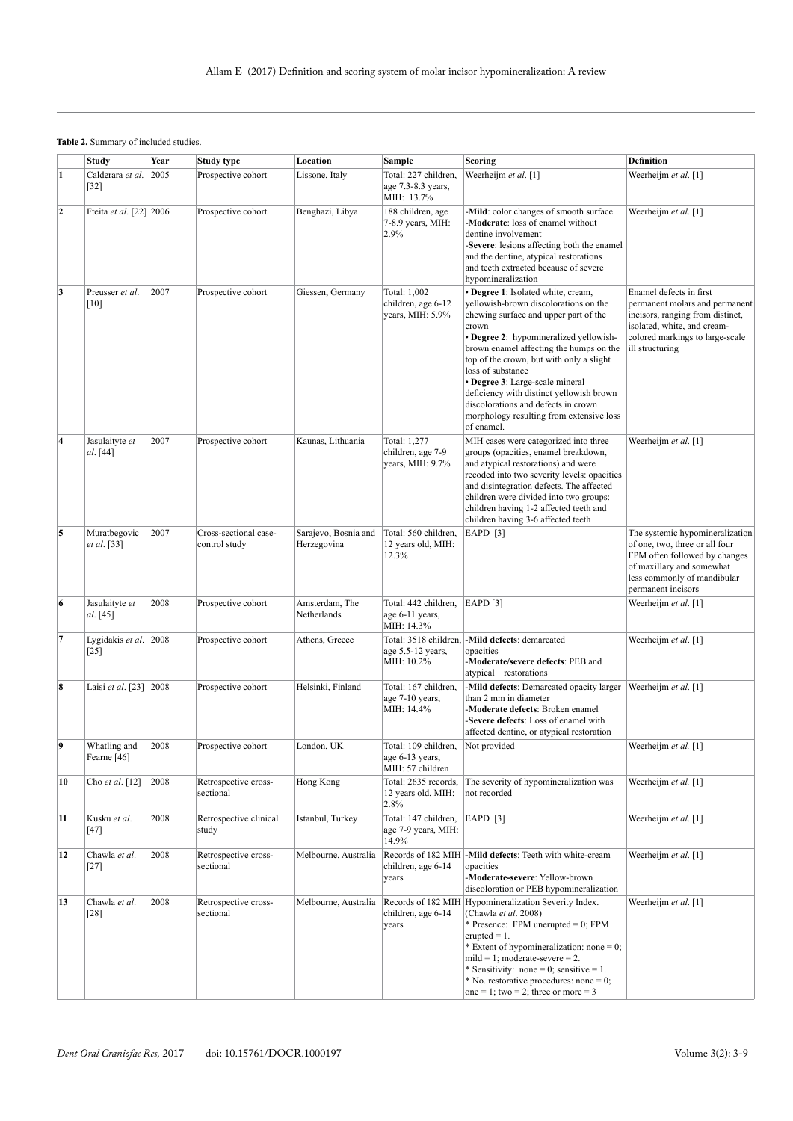## **Table 2.** Summary of included studies.

|                         | <b>Study</b>                    | Year | <b>Study type</b>                      | Location                            | Sample                                                      | Scoring                                                                                                                                                                                                                                                                                                                                                                                                                                                             | <b>Definition</b>                                                                                                                                                                    |
|-------------------------|---------------------------------|------|----------------------------------------|-------------------------------------|-------------------------------------------------------------|---------------------------------------------------------------------------------------------------------------------------------------------------------------------------------------------------------------------------------------------------------------------------------------------------------------------------------------------------------------------------------------------------------------------------------------------------------------------|--------------------------------------------------------------------------------------------------------------------------------------------------------------------------------------|
| $\mathbf{1}$            | Calderara et al. 2005<br>$[32]$ |      | Prospective cohort                     | Lissone, Italy                      | Total: 227 children,<br>age 7.3-8.3 years,<br>MIH: 13.7%    | Weerheijm et al. [1]                                                                                                                                                                                                                                                                                                                                                                                                                                                | Weerheijm et al. [1]                                                                                                                                                                 |
| $\mathbf{2}$            | Fteita et al. [22] 2006         |      | Prospective cohort                     | Benghazi, Libya                     | 188 children, age<br>7-8.9 years, MIH:<br>2.9%              | -Mild: color changes of smooth surface<br>Weerheijm et al. [1]<br>-Moderate: loss of enamel without<br>dentine involvement<br>-Severe: lesions affecting both the enamel<br>and the dentine, atypical restorations<br>and teeth extracted because of severe<br>hypomineralization                                                                                                                                                                                   |                                                                                                                                                                                      |
| 3                       | Preusser et al.<br>[10]         | 2007 | Prospective cohort                     | Giessen, Germany                    | Total: 1,002<br>children, age 6-12<br>years, MIH: 5.9%      | · Degree 1: Isolated white, cream,<br>yellowish-brown discolorations on the<br>chewing surface and upper part of the<br>crown<br>• Degree 2: hypomineralized yellowish-<br>brown enamel affecting the humps on the<br>top of the crown, but with only a slight<br>loss of substance<br>· Degree 3: Large-scale mineral<br>deficiency with distinct yellowish brown<br>discolorations and defects in crown<br>morphology resulting from extensive loss<br>of enamel. | Enamel defects in first<br>permanent molars and permanent<br>incisors, ranging from distinct,<br>isolated, white, and cream-<br>colored markings to large-scale<br>ill structuring   |
| $\overline{\mathbf{4}}$ | Jasulaityte et<br>al. [44]      | 2007 | Prospective cohort                     | Kaunas, Lithuania                   | Total: 1,277<br>children, age 7-9<br>years, MIH: 9.7%       | MIH cases were categorized into three<br>groups (opacities, enamel breakdown,<br>and atypical restorations) and were<br>recoded into two severity levels: opacities<br>and disintegration defects. The affected<br>children were divided into two groups:<br>children having 1-2 affected teeth and<br>children having 3-6 affected teeth                                                                                                                           | Weerheijm et al. [1]                                                                                                                                                                 |
| 5                       | Muratbegovic<br>et al. [33]     | 2007 | Cross-sectional case-<br>control study | Sarajevo, Bosnia and<br>Herzegovina | Total: 560 children.<br>12 years old, MIH:<br>12.3%         | EAPD $[3]$                                                                                                                                                                                                                                                                                                                                                                                                                                                          | The systemic hypomineralization<br>of one, two, three or all four<br>FPM often followed by changes<br>of maxillary and somewhat<br>less commonly of mandibular<br>permanent incisors |
| $\boldsymbol{6}$        | Jasulaityte et<br>al. [45]      | 2008 | Prospective cohort                     | Amsterdam, The<br>Netherlands       | Total: 442 children,<br>age 6-11 years,<br>MIH: 14.3%       | <b>EAPD</b> [3]                                                                                                                                                                                                                                                                                                                                                                                                                                                     | Weerheijm et al. [1]                                                                                                                                                                 |
| 7                       | Lygidakis et al. 2008<br>$[25]$ |      | Prospective cohort                     | Athens, Greece                      | age 5.5-12 years,<br>MIH: 10.2%                             | Total: 3518 children, -Mild defects: demarcated<br>opacities<br>-Moderate/severe defects: PEB and<br>atypical restorations                                                                                                                                                                                                                                                                                                                                          | Weerheijm et al. [1]                                                                                                                                                                 |
| $\boldsymbol{8}$        | Laisi et al. [23] 2008          |      | Prospective cohort                     | Helsinki, Finland                   | Total: 167 children,<br>age 7-10 years,<br>MIH: 14.4%       | -Mild defects: Demarcated opacity larger<br>than 2 mm in diameter<br>Moderate defects: Broken enamel<br>Severe defects: Loss of enamel with<br>affected dentine, or atypical restoration                                                                                                                                                                                                                                                                            | Weerheijm et al. [1]                                                                                                                                                                 |
| 9                       | Whatling and<br>Fearne [46]     | 2008 | Prospective cohort                     | London, UK                          | Total: 109 children,<br>age 6-13 years,<br>MIH: 57 children | Not provided                                                                                                                                                                                                                                                                                                                                                                                                                                                        | Weerheijm et al. [1]                                                                                                                                                                 |
| 10                      | Cho et al. $[12]$               | 2008 | Retrospective cross-<br>sectional      | Hong Kong                           | Total: 2635 records,<br>12 years old, MIH:<br>2.8%          | The severity of hypomineralization was<br>not recorded                                                                                                                                                                                                                                                                                                                                                                                                              | Weerheijm et al. [1]                                                                                                                                                                 |
| 11                      | Kusku et al.<br>$[47]$          | 2008 | Retrospective clinical<br>study        | Istanbul, Turkey                    | Total: 147 children,<br>age 7-9 years, MIH:<br>14.9%        | EAPD $[3]$                                                                                                                                                                                                                                                                                                                                                                                                                                                          | Weerheijm et al. [1]                                                                                                                                                                 |
| 12                      | Chawla et al.<br>$[27]$         | 2008 | Retrospective cross-<br>sectional      | Melbourne, Australia                | Records of 182 MIH<br>children, age 6-14<br>years           | -Mild defects: Teeth with white-cream<br>opacities<br>-Moderate-severe: Yellow-brown<br>discoloration or PEB hypomineralization                                                                                                                                                                                                                                                                                                                                     | Weerheijm et al. [1]                                                                                                                                                                 |
| 13                      | Chawla et al.<br>[28]           | 2008 | Retrospective cross-<br>sectional      | Melbourne, Australia                | Records of 182 MIH<br>children, age 6-14<br>years           | Hypomineralization Severity Index.<br>(Chawla et al. 2008)<br>* Presence: FPM unerupted = 0; FPM<br>erupted $= 1$ .<br>* Extent of hypomineralization: none = 0;<br>$mild = 1$ ; moderate-severe = 2.<br>* Sensitivity: none = 0; sensitive = 1.<br>* No. restorative procedures: none = 0;<br>one = 1; two = 2; three or more = 3                                                                                                                                  | Weerheijm et al. [1]                                                                                                                                                                 |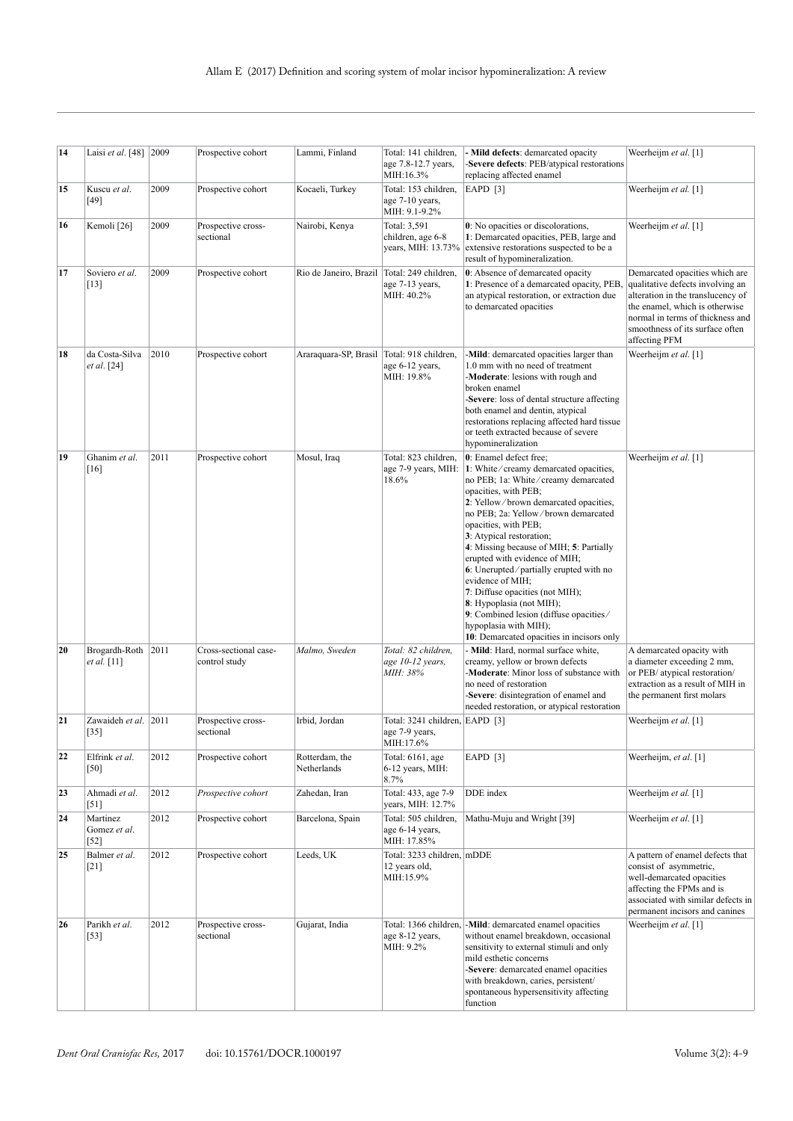| 14 | Laisi et al. [48] 2009             |      | Prospective cohort                     | Lammi, Finland                                | Total: 141 children,<br>age 7.8-12.7 years,<br>MIH:16.3%      | - Mild defects: demarcated opacity<br>-Severe defects: PEB/atypical restorations                                                                                                                                                                                                                                                                                                                                                                                                                                                                                                            | Weerheijm et al. [1]                                                                                                                                                                                                              |
|----|------------------------------------|------|----------------------------------------|-----------------------------------------------|---------------------------------------------------------------|---------------------------------------------------------------------------------------------------------------------------------------------------------------------------------------------------------------------------------------------------------------------------------------------------------------------------------------------------------------------------------------------------------------------------------------------------------------------------------------------------------------------------------------------------------------------------------------------|-----------------------------------------------------------------------------------------------------------------------------------------------------------------------------------------------------------------------------------|
| 15 | Kuscu et al.<br>$[49]$             | 2009 | Prospective cohort                     | Kocaeli, Turkey                               | Total: 153 children,<br>age 7-10 years,<br>MIH: 9.1-9.2%      | replacing affected enamel<br>EAPD $[3]$                                                                                                                                                                                                                                                                                                                                                                                                                                                                                                                                                     | Weerheijm et al. [1]                                                                                                                                                                                                              |
| 16 | Kemoli <sup>[26]</sup>             | 2009 | Prospective cross-<br>sectional        | Nairobi, Kenya                                | Total: 3,591<br>children, age 6-8<br>years, MIH: 13.73%       | 0: No opacities or discolorations,<br>1: Demarcated opacities, PEB, large and<br>extensive restorations suspected to be a<br>result of hypomineralization.                                                                                                                                                                                                                                                                                                                                                                                                                                  | Weerheijm et al. [1]                                                                                                                                                                                                              |
| 17 | Soviero et al.<br>$[13]$           | 2009 | Prospective cohort                     | Rio de Janeiro, Brazil   Total: 249 children, | age 7-13 years,<br>MIH: 40.2%                                 | 0: Absence of demarcated opacity<br>1: Presence of a demarcated opacity, PEB,<br>an atypical restoration, or extraction due<br>to demarcated opacities                                                                                                                                                                                                                                                                                                                                                                                                                                      | Demarcated opacities which are<br>qualitative defects involving an<br>alteration in the translucency of<br>the enamel, which is otherwise<br>normal in terms of thickness and<br>smoothness of its surface often<br>affecting PFM |
| 18 | da Costa-Silva<br>et al. [24]      | 2010 | Prospective cohort                     | Araraquara-SP, Brasil Total: 918 children,    | age 6-12 years,<br>MIH: 19.8%                                 | -Mild: demarcated opacities larger than<br>Weerheijm et al. [1]<br>1.0 mm with no need of treatment<br>-Moderate: lesions with rough and<br>broken enamel<br>-Severe: loss of dental structure affecting<br>both enamel and dentin, atypical<br>restorations replacing affected hard tissue<br>or teeth extracted because of severe<br>hypomineralization                                                                                                                                                                                                                                   |                                                                                                                                                                                                                                   |
| 19 | Ghanim et al.<br>$[16]$            | 2011 | Prospective cohort                     | Mosul, Iraq                                   | Total: 823 children,<br>age 7-9 years, MIH:<br>18.6%          | 0: Enamel defect free:<br>1: White/creamy demarcated opacities,<br>no PEB; 1a: White/creamy demarcated<br>opacities, with PEB;<br>2: Yellow/brown demarcated opacities,<br>no PEB; 2a: Yellow/brown demarcated<br>opacities, with PEB;<br>3: Atypical restoration;<br>4: Missing because of MIH; 5: Partially<br>erupted with evidence of MIH;<br>6: Unerupted/partially erupted with no<br>evidence of MIH;<br>7: Diffuse opacities (not MIH);<br>8: Hypoplasia (not MIH);<br>9: Combined lesion (diffuse opacities/<br>hypoplasia with MIH);<br>10: Demarcated opacities in incisors only | Weerheijm et al. [1]                                                                                                                                                                                                              |
| 20 | Brogardh-Roth 2011<br>et al. [11]  |      | Cross-sectional case-<br>control study | Malmo, Sweden                                 | Total: 82 children,<br>age 10-12 years,<br>MIH: 38%           | - Mild: Hard, normal surface white,<br>creamy, yellow or brown defects<br>-Moderate: Minor loss of substance with<br>no need of restoration<br>-Severe: disintegration of enamel and<br>needed restoration, or atypical restoration                                                                                                                                                                                                                                                                                                                                                         | A demarcated opacity with<br>a diameter exceeding 2 mm,<br>or PEB/ atypical restoration/<br>extraction as a result of MIH in<br>the permanent first molars                                                                        |
| 21 | Zawaideh et al. 2011<br>$[35]$     |      | Prospective cross-<br>sectional        | Irbid, Jordan                                 | Total: 3241 children, EAPD [3]<br>age 7-9 years.<br>MIH:17.6% |                                                                                                                                                                                                                                                                                                                                                                                                                                                                                                                                                                                             | Weerheijm et al. [1]                                                                                                                                                                                                              |
| 22 | Elfrink et al.<br>[50]             | 2012 | Prospective cohort                     | Rotterdam, the<br>Netherlands                 | Total: 6161, age<br>6-12 years, MIH:<br>8.7%                  | EAPD [3]                                                                                                                                                                                                                                                                                                                                                                                                                                                                                                                                                                                    | Weerheijm, et al. [1]                                                                                                                                                                                                             |
| 23 | Ahmadi et al.<br>[51]              | 2012 | Prospective cohort                     | Zahedan, Iran                                 | Total: 433, age 7-9<br>years, MIH: 12.7%                      | DDE index                                                                                                                                                                                                                                                                                                                                                                                                                                                                                                                                                                                   | Weerheijm et al. [1]                                                                                                                                                                                                              |
| 24 | Martinez<br>Gomez et al.<br>$[52]$ | 2012 | Prospective cohort                     | Barcelona, Spain                              | Total: 505 children.<br>age 6-14 years,<br>MIH: 17.85%        | Mathu-Muju and Wright [39]                                                                                                                                                                                                                                                                                                                                                                                                                                                                                                                                                                  | Weerheijm et al. [1]                                                                                                                                                                                                              |
| 25 | Balmer et al.<br>$[21]$            | 2012 | Prospective cohort                     | Leeds, UK                                     | Total: 3233 children, mDDE<br>12 years old,<br>MIH:15.9%      |                                                                                                                                                                                                                                                                                                                                                                                                                                                                                                                                                                                             | A pattern of enamel defects that<br>consist of asymmetric,<br>well-demarcated opacities<br>affecting the FPMs and is<br>associated with similar defects in<br>permanent incisors and canines                                      |
| 26 | Parikh et al.<br>$[53]$            | 2012 | Prospective cross-<br>sectional        | Gujarat, India                                | age 8-12 years,<br>MIH: 9.2%                                  | Total: 1366 children, -Mild: demarcated enamel opacities<br>without enamel breakdown, occasional<br>sensitivity to external stimuli and only<br>mild esthetic concerns<br>-Severe: demarcated enamel opacities<br>with breakdown, caries, persistent/<br>spontaneous hypersensitivity affecting<br>function                                                                                                                                                                                                                                                                                 | Weerheijm et al. [1]                                                                                                                                                                                                              |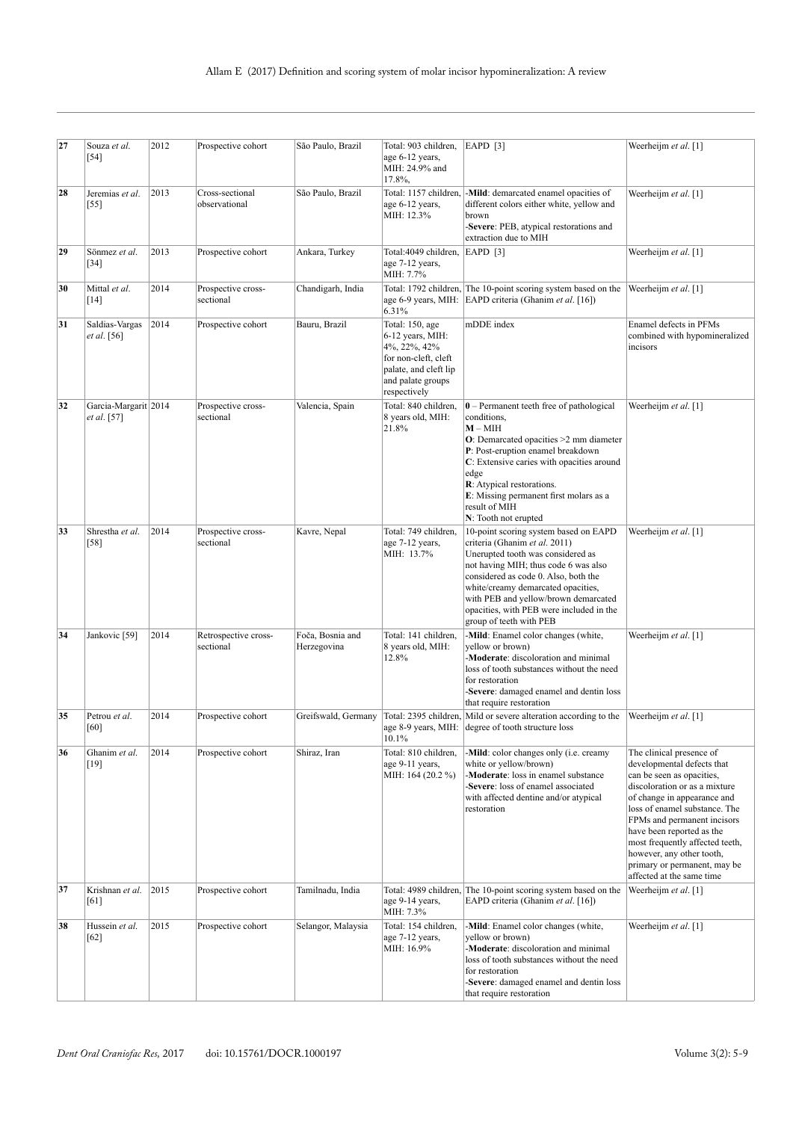| 27 | Souza et al.<br>$[54]$               | 2012 | Prospective cohort                | São Paulo, Brazil               | Total: 903 children,<br>age 6-12 years,<br>MIH: 24.9% and<br>17.8%,                                                                       | EAPD [3]                                                                                                                                                                                                                                                                                                                                         | Weerheijm et al. [1]                                                                                                                                                                                                                                                                                                                                                          |
|----|--------------------------------------|------|-----------------------------------|---------------------------------|-------------------------------------------------------------------------------------------------------------------------------------------|--------------------------------------------------------------------------------------------------------------------------------------------------------------------------------------------------------------------------------------------------------------------------------------------------------------------------------------------------|-------------------------------------------------------------------------------------------------------------------------------------------------------------------------------------------------------------------------------------------------------------------------------------------------------------------------------------------------------------------------------|
| 28 | Jeremias et al.<br>$[55]$            | 2013 | Cross-sectional<br>observational  | São Paulo, Brazil               | Total: 1157 children,<br>age 6-12 years,<br>MIH: 12.3%                                                                                    | -Mild: demarcated enamel opacities of<br>different colors either white, yellow and<br>brown<br>-Severe: PEB, atypical restorations and<br>extraction due to MIH                                                                                                                                                                                  | Weerheijm et al. [1]                                                                                                                                                                                                                                                                                                                                                          |
| 29 | Sönmez et al.<br>$[34]$              | 2013 | Prospective cohort                | Ankara, Turkey                  | Total: 4049 children,<br>age 7-12 years,<br>MIH: 7.7%                                                                                     | $EAPD$ [3]                                                                                                                                                                                                                                                                                                                                       | Weerheijm et al. [1]                                                                                                                                                                                                                                                                                                                                                          |
| 30 | Mittal et al.<br>$[14]$              | 2014 | Prospective cross-<br>sectional   | Chandigarh, India               | 6.31%                                                                                                                                     | Total: 1792 children, The 10-point scoring system based on the<br>age 6-9 years, MIH: EAPD criteria (Ghanim et al. [16])                                                                                                                                                                                                                         | Weerheijm et al. [1]                                                                                                                                                                                                                                                                                                                                                          |
| 31 | Saldias-Vargas<br><i>et al.</i> [56] | 2014 | Prospective cohort                | Bauru, Brazil                   | Total: 150, age<br>6-12 years, MIH:<br>4%, 22%, 42%<br>for non-cleft, cleft<br>palate, and cleft lip<br>and palate groups<br>respectively | mDDE index                                                                                                                                                                                                                                                                                                                                       | Enamel defects in PFMs<br>combined with hypomineralized<br>incisors                                                                                                                                                                                                                                                                                                           |
| 32 | Garcia-Margarit 2014<br>et al. [57]  |      | Prospective cross-<br>sectional   | Valencia, Spain                 | Total: 840 children.<br>8 years old, MIH:<br>21.8%                                                                                        | $0$ – Permanent teeth free of pathological<br>conditions,<br>$M - MHH$<br>$O$ : Demarcated opacities $>2$ mm diameter<br>P: Post-eruption enamel breakdown<br>C: Extensive caries with opacities around<br>edge<br><b>R</b> : Atypical restorations.<br>E: Missing permanent first molars as a<br>result of MIH<br>N: Tooth not erupted          | Weerheijm et al. [1]                                                                                                                                                                                                                                                                                                                                                          |
| 33 | Shrestha et al.<br>$[58]$            | 2014 | Prospective cross-<br>sectional   | Kavre, Nepal                    | Total: 749 children,<br>age 7-12 years,<br>MIH: 13.7%                                                                                     | 10-point scoring system based on EAPD<br>criteria (Ghanim et al. 2011)<br>Unerupted tooth was considered as<br>not having MIH; thus code 6 was also<br>considered as code 0. Also, both the<br>white/creamy demarcated opacities,<br>with PEB and yellow/brown demarcated<br>opacities, with PEB were included in the<br>group of teeth with PEB | Weerheijm et al. [1]                                                                                                                                                                                                                                                                                                                                                          |
| 34 | Jankovic [59]                        | 2014 | Retrospective cross-<br>sectional | Foča, Bosnia and<br>Herzegovina | Total: 141 children,<br>8 years old, MIH:<br>12.8%                                                                                        | -Mild: Enamel color changes (white,<br>Weerheijm et al. [1]<br>yellow or brown)<br>-Moderate: discoloration and minimal<br>loss of tooth substances without the need<br>for restoration<br>-Severe: damaged enamel and dentin loss<br>that require restoration                                                                                   |                                                                                                                                                                                                                                                                                                                                                                               |
| 35 | Petrou et al.<br>$[60]$              | 2014 | Prospective cohort                | Greifswald, Germany             | 10.1%                                                                                                                                     | Total: 2395 children, Mild or severe alteration according to the<br>age 8-9 years, MIH: degree of tooth structure loss                                                                                                                                                                                                                           | Weerheijm et al. [1]                                                                                                                                                                                                                                                                                                                                                          |
| 36 | Ghanim et al.<br>$[19]$              | 2014 | Prospective cohort                | Shiraz, Iran                    | Total: 810 children,<br>age 9-11 years,<br>MIH: 164 (20.2 %)                                                                              | -Mild: color changes only (i.e. creamy<br>white or yellow/brown)<br>-Moderate: loss in enamel substance<br>-Severe: loss of enamel associated<br>with affected dentine and/or atypical<br>restoration                                                                                                                                            | The clinical presence of<br>developmental defects that<br>can be seen as opacities,<br>discoloration or as a mixture<br>of change in appearance and<br>loss of enamel substance. The<br>FPMs and permanent incisors<br>have been reported as the<br>most frequently affected teeth,<br>however, any other tooth,<br>primary or permanent, may be<br>affected at the same time |
| 37 | Krishnan et al.<br>[61]              | 2015 | Prospective cohort                | Tamilnadu, India                | age 9-14 years,<br>MIH: 7.3%                                                                                                              | Total: 4989 children, The 10-point scoring system based on the<br>EAPD criteria (Ghanim et al. [16])                                                                                                                                                                                                                                             | Weerheijm et al. [1]                                                                                                                                                                                                                                                                                                                                                          |
| 38 | Hussein et al.<br>[62]               | 2015 | Prospective cohort                | Selangor, Malaysia              | Total: 154 children,<br>age 7-12 years,<br>MIH: 16.9%                                                                                     | -Mild: Enamel color changes (white,<br>yellow or brown)<br>-Moderate: discoloration and minimal<br>loss of tooth substances without the need<br>for restoration<br>-Severe: damaged enamel and dentin loss<br>that require restoration                                                                                                           | Weerheijm et al. [1]                                                                                                                                                                                                                                                                                                                                                          |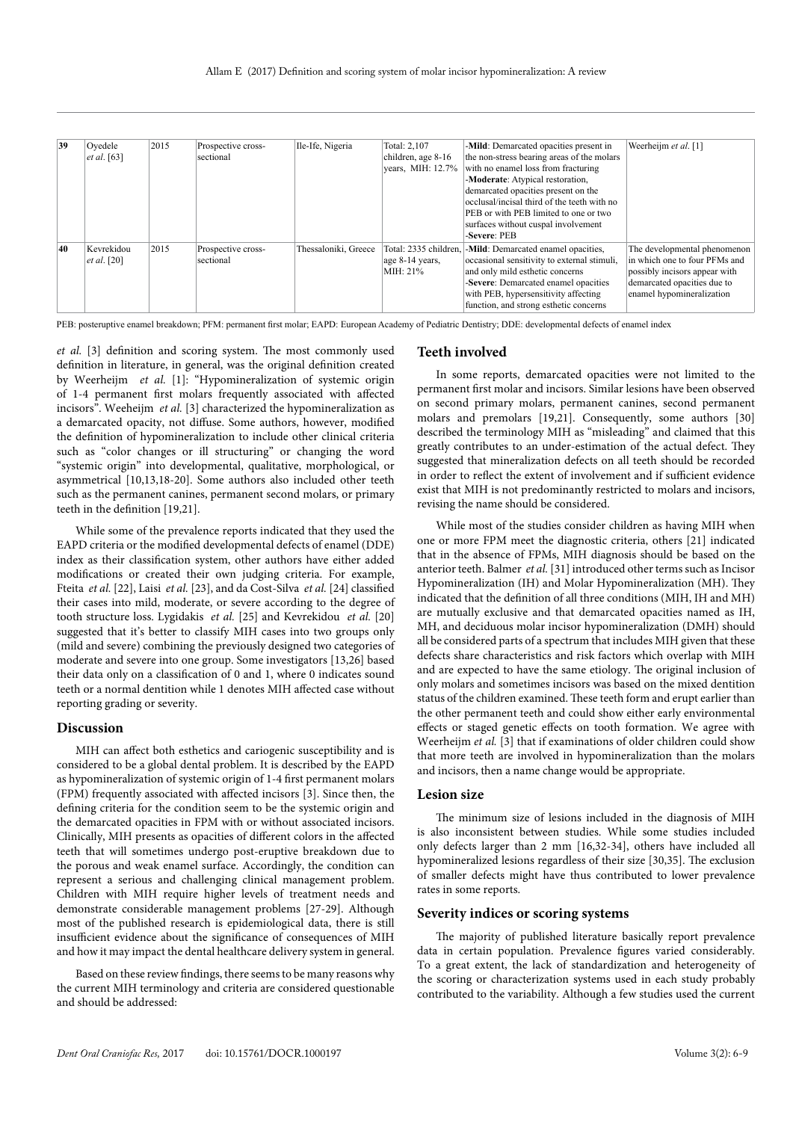| 39 | Ovedele<br>et al. [63]           | 2015 | Prospective cross-<br>sectional | Ile-Ife, Nigeria     | Total: 2,107<br>children, age 8-16<br>years, MIH: 12.7% | -Mild: Demarcated opacities present in<br>the non-stress bearing areas of the molars<br>with no enamel loss from fracturing<br>-Moderate: Atypical restoration,<br>demarcated opacities present on the<br>occlusal/incisal third of the teeth with no<br>PEB or with PEB limited to one or two<br>surfaces without cuspal involvement<br>-Severe: PEB | Weerheijm et al. [1]                                                                                                                                       |
|----|----------------------------------|------|---------------------------------|----------------------|---------------------------------------------------------|-------------------------------------------------------------------------------------------------------------------------------------------------------------------------------------------------------------------------------------------------------------------------------------------------------------------------------------------------------|------------------------------------------------------------------------------------------------------------------------------------------------------------|
| 40 | Kevrekidou<br><i>et al.</i> [20] | 2015 | Prospective cross-<br>sectional | Thessaloniki, Greece | age 8-14 years.<br>MIH: 21%                             | Total: 2335 children,  - <b>Mild</b> : Demarcated enamel opacities,<br>occasional sensitivity to external stimuli.<br>and only mild esthetic concerns<br>-Severe: Demarcated enamel opacities<br>with PEB, hypersensitivity affecting<br>function, and strong esthetic concerns                                                                       | The developmental phenomenon<br>in which one to four PFMs and<br>possibly incisors appear with<br>demarcated opacities due to<br>enamel hypomineralization |

PEB: posteruptive enamel breakdown; PFM: permanent first molar; EAPD: European Academy of Pediatric Dentistry; DDE: developmental defects of enamel index

*et al.* [3] definition and scoring system. The most commonly used definition in literature, in general, was the original definition created by Weerheijm *et al.* [1]: "Hypomineralization of systemic origin of 1-4 permanent first molars frequently associated with affected incisors". Weeheijm *et al.* [3] characterized the hypomineralization as a demarcated opacity, not diffuse. Some authors, however, modified the definition of hypomineralization to include other clinical criteria such as "color changes or ill structuring" or changing the word "systemic origin" into developmental, qualitative, morphological, or asymmetrical [10,13,18-20]. Some authors also included other teeth such as the permanent canines, permanent second molars, or primary teeth in the definition [19,21].

While some of the prevalence reports indicated that they used the EAPD criteria or the modified developmental defects of enamel (DDE) index as their classification system, other authors have either added modifications or created their own judging criteria. For example, Fteita *et al.* [22], Laisi *et al.* [23], and da Cost-Silva *et al.* [24] classified their cases into mild, moderate, or severe according to the degree of tooth structure loss. Lygidakis *et al.* [25] and Kevrekidou *et al.* [20] suggested that it's better to classify MIH cases into two groups only (mild and severe) combining the previously designed two categories of moderate and severe into one group. Some investigators [13,26] based their data only on a classification of 0 and 1, where 0 indicates sound teeth or a normal dentition while 1 denotes MIH affected case without reporting grading or severity.

#### **Discussion**

MIH can affect both esthetics and cariogenic susceptibility and is considered to be a global dental problem. It is described by the EAPD as hypomineralization of systemic origin of 1-4 first permanent molars (FPM) frequently associated with affected incisors [3]. Since then, the defining criteria for the condition seem to be the systemic origin and the demarcated opacities in FPM with or without associated incisors. Clinically, MIH presents as opacities of different colors in the affected teeth that will sometimes undergo post-eruptive breakdown due to the porous and weak enamel surface. Accordingly, the condition can represent a serious and challenging clinical management problem. Children with MIH require higher levels of treatment needs and demonstrate considerable management problems [27-29]. Although most of the published research is epidemiological data, there is still insufficient evidence about the significance of consequences of MIH and how it may impact the dental healthcare delivery system in general.

Based on these review findings, there seems to be many reasons why the current MIH terminology and criteria are considered questionable and should be addressed:

#### **Teeth involved**

In some reports, demarcated opacities were not limited to the permanent first molar and incisors. Similar lesions have been observed on second primary molars, permanent canines, second permanent molars and premolars [19,21]. Consequently, some authors [30] described the terminology MIH as "misleading" and claimed that this greatly contributes to an under-estimation of the actual defect. They suggested that mineralization defects on all teeth should be recorded in order to reflect the extent of involvement and if sufficient evidence exist that MIH is not predominantly restricted to molars and incisors, revising the name should be considered.

While most of the studies consider children as having MIH when one or more FPM meet the diagnostic criteria, others [21] indicated that in the absence of FPMs, MIH diagnosis should be based on the anterior teeth. Balmer *et al.* [31] introduced other terms such as Incisor Hypomineralization (IH) and Molar Hypomineralization (MH). They indicated that the definition of all three conditions (MIH, IH and MH) are mutually exclusive and that demarcated opacities named as IH, MH, and deciduous molar incisor hypomineralization (DMH) should all be considered parts of a spectrum that includes MIH given that these defects share characteristics and risk factors which overlap with MIH and are expected to have the same etiology. The original inclusion of only molars and sometimes incisors was based on the mixed dentition status of the children examined. These teeth form and erupt earlier than the other permanent teeth and could show either early environmental effects or staged genetic effects on tooth formation. We agree with Weerheijm *et al.* [3] that if examinations of older children could show that more teeth are involved in hypomineralization than the molars and incisors, then a name change would be appropriate.

#### **Lesion size**

The minimum size of lesions included in the diagnosis of MIH is also inconsistent between studies. While some studies included only defects larger than 2 mm [16,32-34], others have included all hypomineralized lesions regardless of their size [30,35]. The exclusion of smaller defects might have thus contributed to lower prevalence rates in some reports.

#### **Severity indices or scoring systems**

The majority of published literature basically report prevalence data in certain population. Prevalence figures varied considerably. To a great extent, the lack of standardization and heterogeneity of the scoring or characterization systems used in each study probably contributed to the variability. Although a few studies used the current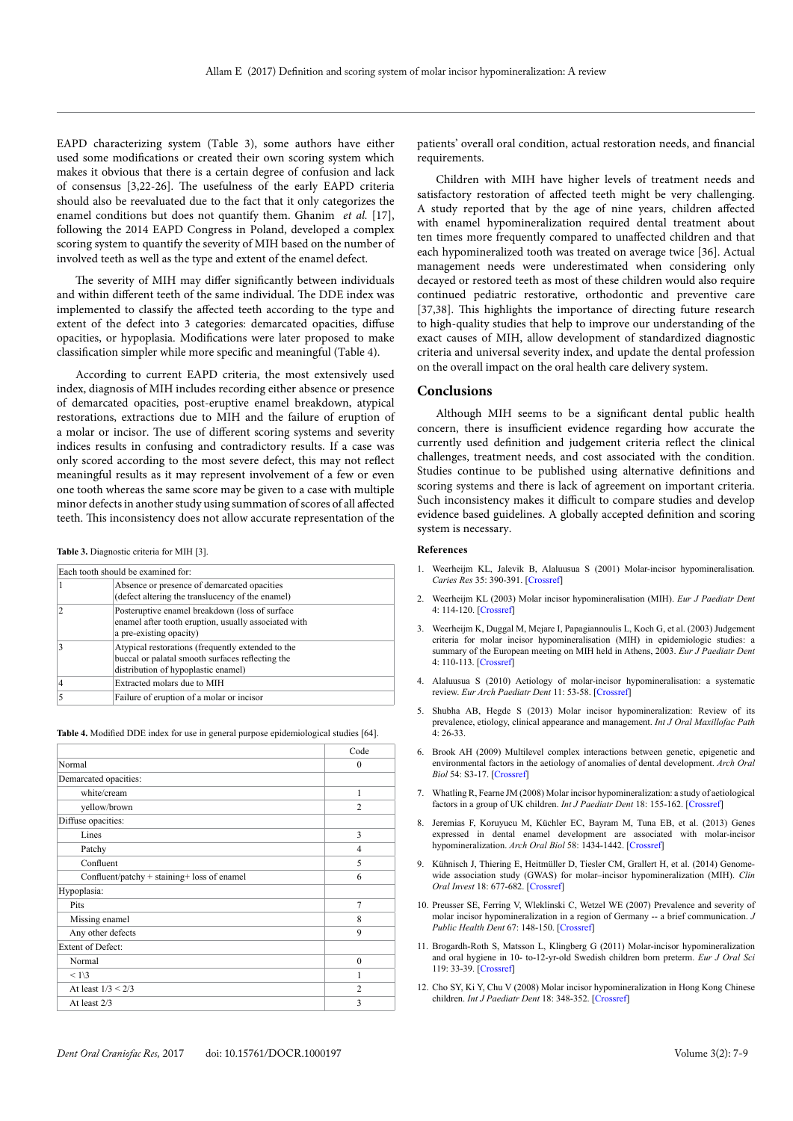EAPD characterizing system (Table 3), some authors have either used some modifications or created their own scoring system which makes it obvious that there is a certain degree of confusion and lack of consensus [3,22-26]. The usefulness of the early EAPD criteria should also be reevaluated due to the fact that it only categorizes the enamel conditions but does not quantify them. Ghanim *et al.* [17], following the 2014 EAPD Congress in Poland, developed a complex scoring system to quantify the severity of MIH based on the number of involved teeth as well as the type and extent of the enamel defect.

The severity of MIH may differ significantly between individuals and within different teeth of the same individual. The DDE index was implemented to classify the affected teeth according to the type and extent of the defect into 3 categories: demarcated opacities, diffuse opacities, or hypoplasia. Modifications were later proposed to make classification simpler while more specific and meaningful (Table 4).

According to current EAPD criteria, the most extensively used index, diagnosis of MIH includes recording either absence or presence of demarcated opacities, post-eruptive enamel breakdown, atypical restorations, extractions due to MIH and the failure of eruption of a molar or incisor. The use of different scoring systems and severity indices results in confusing and contradictory results. If a case was only scored according to the most severe defect, this may not reflect meaningful results as it may represent involvement of a few or even one tooth whereas the same score may be given to a case with multiple minor defects in another study using summation of scores of all affected teeth. This inconsistency does not allow accurate representation of the

**Table 3.** Diagnostic criteria for MIH [3].

|   | Each tooth should be examined for:                                                                                                           |  |  |  |
|---|----------------------------------------------------------------------------------------------------------------------------------------------|--|--|--|
|   | Absence or presence of demarcated opacities<br>(defect altering the translucency of the enamel)                                              |  |  |  |
|   | Posteruptive enamel breakdown (loss of surface<br>enamel after tooth eruption, usually associated with<br>a pre-existing opacity)            |  |  |  |
|   | Atypical restorations (frequently extended to the<br>buccal or palatal smooth surfaces reflecting the<br>distribution of hypoplastic enamel) |  |  |  |
|   | Extracted molars due to MIH                                                                                                                  |  |  |  |
| 5 | Failure of eruption of a molar or incisor                                                                                                    |  |  |  |

**Table 4.** Modified DDE index for use in general purpose epidemiological studies [64].

|                                             | Code             |
|---------------------------------------------|------------------|
| Normal                                      | $\Omega$         |
| Demarcated opacities:                       |                  |
| white/cream                                 | 1                |
| yellow/brown                                | $\overline{c}$   |
| Diffuse opacities:                          |                  |
| Lines                                       | 3                |
| Patchy                                      | $\overline{4}$   |
| Confluent                                   | 5                |
| Confluent/patchy + staining+ loss of enamel | 6                |
| Hypoplasia:                                 |                  |
| Pits                                        | $\overline{7}$   |
| Missing enamel                              | $\boldsymbol{8}$ |
| Any other defects                           | 9                |
| <b>Extent of Defect:</b>                    |                  |
| Normal                                      | $\Omega$         |
| < 1/3                                       | 1                |
| At least $1/3 < 2/3$                        | $\overline{c}$   |
| At least 2/3                                | 3                |
|                                             |                  |

patients' overall oral condition, actual restoration needs, and financial requirements.

Children with MIH have higher levels of treatment needs and satisfactory restoration of affected teeth might be very challenging. A study reported that by the age of nine years, children affected with enamel hypomineralization required dental treatment about ten times more frequently compared to unaffected children and that each hypomineralized tooth was treated on average twice [36]. Actual management needs were underestimated when considering only decayed or restored teeth as most of these children would also require continued pediatric restorative, orthodontic and preventive care [37,38]. This highlights the importance of directing future research to high-quality studies that help to improve our understanding of the exact causes of MIH, allow development of standardized diagnostic criteria and universal severity index, and update the dental profession on the overall impact on the oral health care delivery system.

#### **Conclusions**

Although MIH seems to be a significant dental public health concern, there is insufficient evidence regarding how accurate the currently used definition and judgement criteria reflect the clinical challenges, treatment needs, and cost associated with the condition. Studies continue to be published using alternative definitions and scoring systems and there is lack of agreement on important criteria. Such inconsistency makes it difficult to compare studies and develop evidence based guidelines. A globally accepted definition and scoring system is necessary.

#### **References**

- 1. Weerheijm KL, Jalevik B, Alaluusua S (2001) Molar-incisor hypomineralisation. *Caries Res* 35: 390-391. [\[Crossref\]](http://www.ncbi.nlm.nih.gov/pubmed/11641576)
- 2. Weerheijm KL (2003) Molar incisor hypomineralisation (MIH). *Eur J Paediatr Dent*  4: 114-120. [\[Crossref\]](http://www.ncbi.nlm.nih.gov/pubmed/14529330)
- 3. Weerheijm K, Duggal M, Mejare I, Papagiannoulis L, Koch G, et al. (2003) Judgement criteria for molar incisor hypomineralisation (MIH) in epidemiologic studies: a summary of the European meeting on MIH held in Athens, 2003. *Eur J Paediatr Dent*  4: 110-113. [\[Crossref\]](https://www.ncbi.nlm.nih.gov/pubmed/14529329)
- 4. Alaluusua S (2010) Aetiology of molar-incisor hypomineralisation: a systematic review. *Eur Arch Paediatr Dent* 11: 53-58. [\[Crossref\]](http://www.ncbi.nlm.nih.gov/pubmed/20403298)
- 5. Shubha AB, Hegde S (2013) Molar incisor hypomineralization: Review of its prevalence, etiology, clinical appearance and management. *Int J Oral Maxillofac Path*  4: 26-33.
- 6. Brook AH (2009) Multilevel complex interactions between genetic, epigenetic and environmental factors in the aetiology of anomalies of dental development. *Arch Oral Biol* 54: S3-17. [\[Crossref\]](https://www.ncbi.nlm.nih.gov/pubmed/19913215)
- 7. Whatling R, Fearne JM (2008) Molar incisor hypomineralization: a study of aetiological factors in a group of UK children. *Int J Paediatr Dent* 18: 155-162. [\[Crossref\]](http://www.ncbi.nlm.nih.gov/pubmed/18384347)
- 8. Jeremias F, Koruyucu M, Küchler EC, Bayram M, Tuna EB, et al. (2013) Genes expressed in dental enamel development are associated with molar-incisor hypomineralization. *Arch Oral Biol* 58: 1434-1442. [\[Crossref\]](https://www.ncbi.nlm.nih.gov/pubmed/23790503)
- 9. Kühnisch J, Thiering E, Heitmüller D, Tiesler CM, Grallert H, et al. (2014) Genomewide association study (GWAS) for molar–incisor hypomineralization (MIH). *Clin Oral Invest* 18: 677-682. [\[Crossref\]](https://www.ncbi.nlm.nih.gov/pubmed/23918034)
- 10. Preusser SE, Ferring V, Wleklinski C, Wetzel WE (2007) Prevalence and severity of molar incisor hypomineralization in a region of Germany -- a brief communication. *J Public Health Dent* 67: 148-150. [\[Crossref\]](http://www.ncbi.nlm.nih.gov/pubmed/17899899)
- 11. Brogardh-Roth S, Matsson L, Klingberg G (2011) Molar-incisor hypomineralization and oral hygiene in 10- to-12-yr-old Swedish children born preterm. *Eur J Oral Sci*  119: 33-39. [\[Crossref\]](http://www.ncbi.nlm.nih.gov/pubmed/21244509)
- 12. Cho SY, Ki Y, Chu V (2008) Molar incisor hypomineralization in Hong Kong Chinese children. *Int J Paediatr Dent* 18: 348-352. [\[Crossref\]](http://www.ncbi.nlm.nih.gov/pubmed/18637048)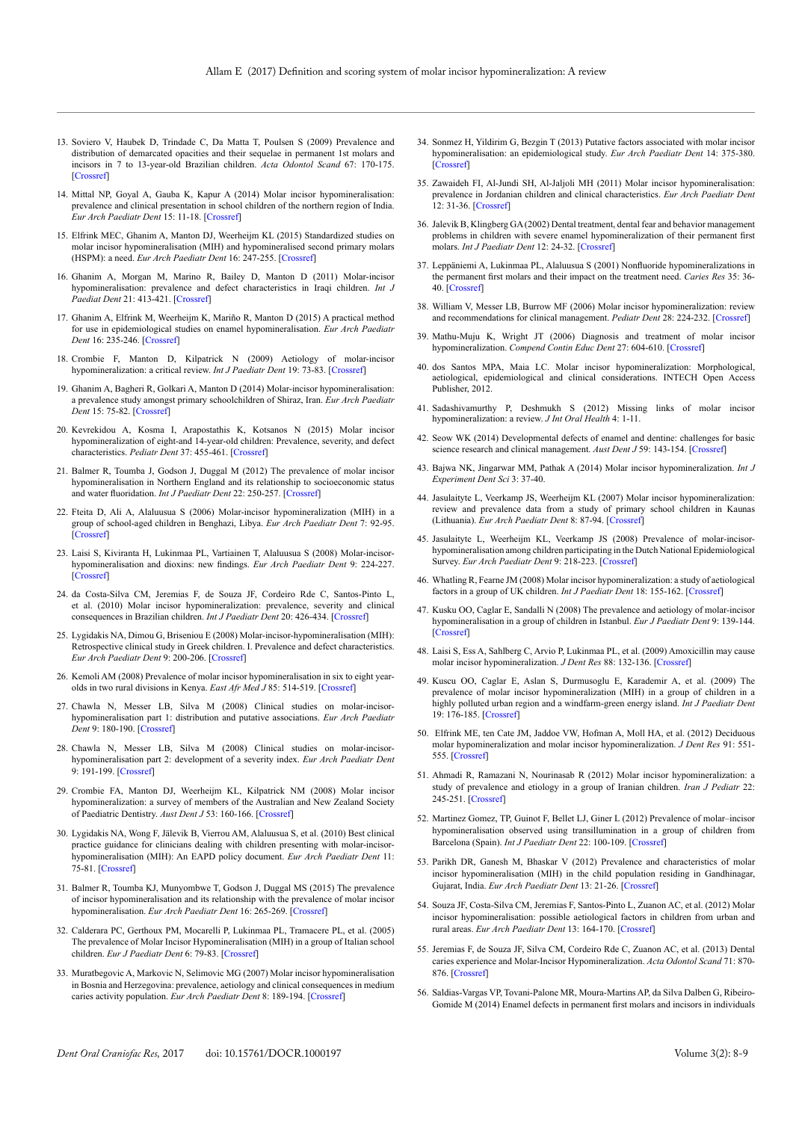- 13. Soviero V, Haubek D, Trindade C, Da Matta T, Poulsen S (2009) Prevalence and distribution of demarcated opacities and their sequelae in permanent 1st molars and incisors in 7 to 13-year-old Brazilian children. *Acta Odontol Scand* 67: 170-175. [\[Crossref\]](https://www.ncbi.nlm.nih.gov/pubmed/19253064)
- 14. Mittal NP, Goyal A, Gauba K, Kapur A (2014) Molar incisor hypomineralisation: prevalence and clinical presentation in school children of the northern region of India. *Eur Arch Paediatr Dent* 15: 11-18. [\[Crossref\]](https://www.ncbi.nlm.nih.gov/pubmed/23754204)
- 15. Elfrink MEC, Ghanim A, Manton DJ, Weerheijm KL (2015) Standardized studies on molar incisor hypomineralisation (MIH) and hypomineralised second primary molars (HSPM): a need. *Eur Arch Paediatr Dent* 16: 247-255. [\[Crossref\]](https://www.ncbi.nlm.nih.gov/pubmed/25894247)
- 16. Ghanim A, Morgan M, Marino R, Bailey D, Manton D (2011) Molar-incisor hypomineralisation: prevalence and defect characteristics in Iraqi children. *Int J Paediat Dent* 21: 413-421. [\[Crossref\]](https://www.ncbi.nlm.nih.gov/pubmed/21689174)
- 17. Ghanim A, Elfrink M, Weerheijm K, Mariño R, Manton D (2015) A practical method for use in epidemiological studies on enamel hypomineralisation. *Eur Arch Paediatr Dent* 16: 235-246. [\[Crossref\]](http://www.ncbi.nlm.nih.gov/pubmed/25916282)
- 18. Crombie F, Manton D, Kilpatrick N (2009) Aetiology of molar-incisor hypomineralization: a critical review. *Int J Paediatr Dent* 19: 73-83. [\[Crossref\]](http://www.ncbi.nlm.nih.gov/pubmed/19250392)
- 19. Ghanim A, Bagheri R, Golkari A, Manton D (2014) Molar-incisor hypomineralisation: a prevalence study amongst primary schoolchildren of Shiraz, Iran. *Eur Arch Paediatr Dent* 15: 75-82. [\[Crossref\]](http://www.ncbi.nlm.nih.gov/pubmed/23860621)
- 20. Kevrekidou A, Kosma I, Arapostathis K, Kotsanos N (2015) Molar incisor hypomineralization of eight-and 14-year-old children: Prevalence, severity, and defect characteristics. *Pediatr Dent* 37: 455-461. [\[Crossref\]](https://www.ncbi.nlm.nih.gov/pubmed/26531090)
- 21. Balmer R, Toumba J, Godson J, Duggal M (2012) The prevalence of molar incisor hypomineralisation in Northern England and its relationship to socioeconomic status and water fluoridation. *Int J Paediatr Dent* 22: 250-257. [\[Crossref\]](http://www.ncbi.nlm.nih.gov/pubmed/22010979)
- 22. Fteita D, Ali A, Alaluusua S (2006) Molar-incisor hypomineralization (MIH) in a group of school-aged children in Benghazi, Libya. *Eur Arch Paediatr Dent* 7: 92-95. [\[Crossref\]](http://www.ncbi.nlm.nih.gov/pubmed/17140534)
- 23. Laisi S, Kiviranta H, Lukinmaa PL, Vartiainen T, Alaluusua S (2008) Molar-incisorhypomineralisation and dioxins: new findings. *Eur Arch Paediatr Dent* 9: 224-227. [\[Crossref\]](http://www.ncbi.nlm.nih.gov/pubmed/19054476)
- 24. da Costa-Silva CM, Jeremias F, de Souza JF, Cordeiro Rde C, Santos-Pinto L, et al. (2010) Molar incisor hypomineralization: prevalence, severity and clinical consequences in Brazilian children. *Int J Paediatr Dent* 20: 426-434. [\[Crossref\]](https://www.ncbi.nlm.nih.gov/pubmed/20738434)
- 25. Lygidakis NA, Dimou G, Briseniou E (2008) Molar-incisor-hypomineralisation (MIH): Retrospective clinical study in Greek children. I. Prevalence and defect characteristics. *Eur Arch Paediatr Dent* 9: 200-206. [\[Crossref\]](https://www.ncbi.nlm.nih.gov/pubmed/19054473)
- 26. Kemoli AM (2008) Prevalence of molar incisor hypomineralisation in six to eight yearolds in two rural divisions in Kenya. *East Afr Med J* 85: 514-519. [\[Crossref\]](http://www.ncbi.nlm.nih.gov/pubmed/19537429)
- 27. Chawla N, Messer LB, Silva M (2008) Clinical studies on molar-incisorhypomineralisation part 1: distribution and putative associations. *Eur Arch Paediatr Dent* 9: 180-190. [\[Crossref\]](http://www.ncbi.nlm.nih.gov/pubmed/19054471)
- 28. Chawla N, Messer LB, Silva M (2008) Clinical studies on molar-incisorhypomineralisation part 2: development of a severity index. *Eur Arch Paediatr Dent*  9: 191-199. [\[Crossref\]](http://www.ncbi.nlm.nih.gov/pubmed/19054472)
- 29. Crombie FA, Manton DJ, Weerheijm KL, Kilpatrick NM (2008) Molar incisor hypomineralization: a survey of members of the Australian and New Zealand Society of Paediatric Dentistry. *Aust Dent J* 53: 160-166. [\[Crossref\]](https://www.ncbi.nlm.nih.gov/pubmed/18494972)
- 30. Lygidakis NA, Wong F, Jälevik B, Vierrou AM, Alaluusua S, et al. (2010) Best clinical practice guidance for clinicians dealing with children presenting with molar-incisorhypomineralisation (MIH): An EAPD policy document. *Eur Arch Paediatr Dent* 11: 75-81. [\[Crossref\]](http://www.ncbi.nlm.nih.gov/pubmed/20403301)
- 31. Balmer R, Toumba KJ, Munyombwe T, Godson J, Duggal MS (2015) The prevalence of incisor hypomineralisation and its relationship with the prevalence of molar incisor hypomineralisation. *Eur Arch Paediatr Dent* 16: 265-269. [\[Crossref\]](http://www.ncbi.nlm.nih.gov/pubmed/25894246)
- 32. Calderara PC, Gerthoux PM, Mocarelli P, Lukinmaa PL, Tramacere PL, et al. (2005) The prevalence of Molar Incisor Hypomineralisation (MIH) in a group of Italian school children. *Eur J Paediatr Dent* 6: 79-83. [\[Crossref\]](http://www.ncbi.nlm.nih.gov/pubmed/16004536)
- 33. Muratbegovic A, Markovic N, Selimovic MG (2007) Molar incisor hypomineralisation in Bosnia and Herzegovina: prevalence, aetiology and clinical consequences in medium caries activity population. *Eur Arch Paediatr Dent* 8: 189-194. [\[Crossref\]](https://www.ncbi.nlm.nih.gov/pubmed/18076849)
- 34. Sonmez H, Yildirim G, Bezgin T (2013) Putative factors associated with molar incisor hypomineralisation: an epidemiological study. *Eur Arch Paediatr Dent* 14: 375-380. [\[Crossref\]](https://www.ncbi.nlm.nih.gov/pubmed/238606194)
- 35. Zawaideh FI, Al-Jundi SH, Al-Jaljoli MH (2011) Molar incisor hypomineralisation: prevalence in Jordanian children and clinical characteristics. *Eur Arch Paediatr Dent*  12: 31-36. [\[Crossref\]](https://www.ncbi.nlm.nih.gov/pubmed/21299943)
- 36. Jalevik B, Klingberg GA (2002) Dental treatment, dental fear and behavior management problems in children with severe enamel hypomineralization of their permanent first molars. *Int J Paediatr Dent* 12: 24-32. [\[Crossref\]](https://www.ncbi.nlm.nih.gov/pubmed/11853245)
- 37. Leppäniemi A, Lukinmaa PL, Alaluusua S (2001) Nonfluoride hypomineralizations in the permanent first molars and their impact on the treatment need. *Caries Res* 35: 36- 40. [\[Crossref\]](http://www.ncbi.nlm.nih.gov/pubmed/11125194)
- 38. William V, Messer LB, Burrow MF (2006) Molar incisor hypomineralization: review and recommendations for clinical management. *Pediatr Dent* 28: 224-232. [\[Crossref\]](http://www.ncbi.nlm.nih.gov/pubmed/16805354)
- 39. Mathu-Muju K, Wright JT (2006) Diagnosis and treatment of molar incisor hypomineralization. *Compend Contin Educ Dent* 27: 604-610. [\[Crossref\]](http://www.ncbi.nlm.nih.gov/pubmed/17133930)
- 40. dos Santos MPA, Maia LC. Molar incisor hypomineralization: Morphological, aetiological, epidemiological and clinical considerations. INTECH Open Access Publisher, 2012.
- 41. Sadashivamurthy P, Deshmukh S (2012) Missing links of molar incisor hypomineralization: a review. *J Int Oral Health* 4: 1-11.
- 42. Seow WK (2014) Developmental defects of enamel and dentine: challenges for basic science research and clinical management. *Aust Dent J* 59: 143-154. [\[Crossref\]](http://www.ncbi.nlm.nih.gov/pubmed/24164394)
- 43. Bajwa NK, Jingarwar MM, Pathak A (2014) Molar incisor hypomineralization. *Int J Experiment Dent Sci* 3: 37-40.
- 44. Jasulaityte L, Veerkamp JS, Weerheijm KL (2007) Molar incisor hypomineralization: review and prevalence data from a study of primary school children in Kaunas (Lithuania). *Eur Arch Paediatr Dent* 8: 87-94. [\[Crossref\]](https://www.ncbi.nlm.nih.gov/pubmed/17555690)
- 45. Jasulaityte L, Weerheijm KL, Veerkamp JS (2008) Prevalence of molar-incisorhypomineralisation among children participating in the Dutch National Epidemiological Survey. *Eur Arch Paediatr Dent* 9: 218-223. [\[Crossref\]](https://www.ncbi.nlm.nih.gov/pubmed/19054475)
- 46. Whatling R, Fearne JM (2008) Molar incisor hypomineralization: a study of aetiological factors in a group of UK children. *Int J Paediatr Dent* 18: 155-162. [\[Crossref\]](http://www.ncbi.nlm.nih.gov/pubmed/18384347)
- 47. Kusku OO, Caglar E, Sandalli N (2008) The prevalence and aetiology of molar-incisor hypomineralisation in a group of children in Istanbul. *Eur J Paediatr Dent* 9: 139-144. [\[Crossref\]](http://www.ncbi.nlm.nih.gov/pubmed/18844443)
- 48. Laisi S, Ess A, Sahlberg C, Arvio P, Lukinmaa PL, et al. (2009) Amoxicillin may cause molar incisor hypomineralization. *J Dent Res* 88: 132-136. [\[Crossref\]](http://www.ncbi.nlm.nih.gov/pubmed/19278983)
- 49. Kuscu OO, Caglar E, Aslan S, Durmusoglu E, Karademir A, et al. (2009) The prevalence of molar incisor hypomineralization (MIH) in a group of children in a highly polluted urban region and a windfarm-green energy island. *Int J Paediatr Dent* 19: 176-185. [\[Crossref\]](https://www.ncbi.nlm.nih.gov/pubmed/19016928)
- 50. Elfrink ME, ten Cate JM, Jaddoe VW, Hofman A, Moll HA, et al. (2012) Deciduous molar hypomineralization and molar incisor hypomineralization. *J Dent Res* 91: 551- 555. [\[Crossref\]](http://www.ncbi.nlm.nih.gov/pubmed/22370445)
- 51. Ahmadi R, Ramazani N, Nourinasab R (2012) Molar incisor hypomineralization: a study of prevalence and etiology in a group of Iranian children. *Iran J Pediatr* 22: 245-251. [\[Crossref\]](http://www.ncbi.nlm.nih.gov/pubmed/23056894)
- 52. Martinez Gomez, TP, Guinot F, Bellet LJ, Giner L (2012) Prevalence of molar–incisor hypomineralisation observed using transillumination in a group of children from Barcelona (Spain). *Int J Paediatr Dent* 22: 100-109. [\[Crossref\]](https://www.ncbi.nlm.nih.gov/pubmed/21883558)
- 53. Parikh DR, Ganesh M, Bhaskar V (2012) Prevalence and characteristics of molar incisor hypomineralisation (MIH) in the child population residing in Gandhinagar, Gujarat, India. *Eur Arch Paediatr Dent* 13: 21-26. [\[Crossref\]](https://www.ncbi.nlm.nih.gov/pubmed/22293101)
- 54. Souza JF, Costa-Silva CM, Jeremias F, Santos-Pinto L, Zuanon AC, et al. (2012) Molar incisor hypomineralisation: possible aetiological factors in children from urban and rural areas. *Eur Arch Paediatr Dent* 13: 164-170. [\[Crossref\]](https://www.ncbi.nlm.nih.gov/pubmed/22883354)
- 55. Jeremias F, de Souza JF, Silva CM, Cordeiro Rde C, Zuanon AC, et al. (2013) Dental caries experience and Molar-Incisor Hypomineralization. *Acta Odontol Scand* 71: 870- 876. [\[Crossref\]](http://www.ncbi.nlm.nih.gov/pubmed/23351220)
- 56. Saldias-Vargas VP, Tovani-Palone MR, Moura-Martins AP, da Silva Dalben G, Ribeiro-Gomide M (2014) Enamel defects in permanent first molars and incisors in individuals